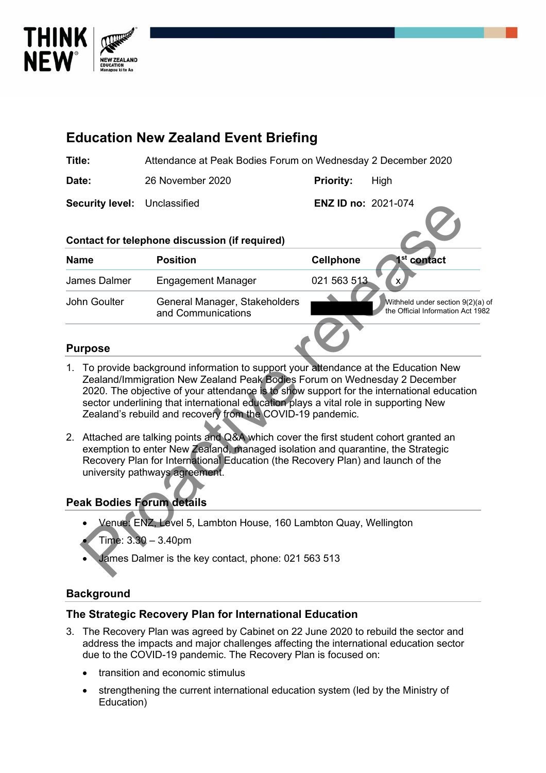

|                                                                                                                                                                                                                                                                                                                                                                                                                      | <b>Education New Zealand Event Briefing</b>                                                |                            |                                                                        |  |  |
|----------------------------------------------------------------------------------------------------------------------------------------------------------------------------------------------------------------------------------------------------------------------------------------------------------------------------------------------------------------------------------------------------------------------|--------------------------------------------------------------------------------------------|----------------------------|------------------------------------------------------------------------|--|--|
| Title:                                                                                                                                                                                                                                                                                                                                                                                                               | Attendance at Peak Bodies Forum on Wednesday 2 December 2020                               |                            |                                                                        |  |  |
| Date:                                                                                                                                                                                                                                                                                                                                                                                                                | 26 November 2020                                                                           | <b>Priority:</b>           | High                                                                   |  |  |
| <b>Security level:</b>                                                                                                                                                                                                                                                                                                                                                                                               | Unclassified                                                                               | <b>ENZ ID no: 2021-074</b> |                                                                        |  |  |
| <b>Name</b>                                                                                                                                                                                                                                                                                                                                                                                                          | Contact for telephone discussion (if required)<br><b>Position</b>                          | <b>Cellphone</b>           | 1 <sup>st</sup> contact                                                |  |  |
| James Dalmer                                                                                                                                                                                                                                                                                                                                                                                                         | <b>Engagement Manager</b>                                                                  | 021 563 513                | X                                                                      |  |  |
| John Goulter                                                                                                                                                                                                                                                                                                                                                                                                         | General Manager, Stakeholders<br>and Communications                                        |                            | Withheld under section 9(2)(a) of<br>the Official Information Act 1982 |  |  |
| <b>Purpose</b>                                                                                                                                                                                                                                                                                                                                                                                                       |                                                                                            |                            |                                                                        |  |  |
| 1. To provide background information to support your attendance at the Education New<br>Zealand/Immigration New Zealand Peak Bodies Forum on Wednesday 2 December<br>2020. The objective of your attendance is to show support for the international education<br>sector underlining that international education plays a vital role in supporting New<br>Zealand's rebuild and recovery from the COVID-19 pandemic. |                                                                                            |                            |                                                                        |  |  |
| 2. Attached are talking points and Q&A which cover the first student cohort granted an<br>exemption to enter New Zealand, managed isolation and quarantine, the Strategic<br>Recovery Plan for International Education (the Recovery Plan) and launch of the<br>university pathways agreement.                                                                                                                       |                                                                                            |                            |                                                                        |  |  |
| <b>Peak Bodies Forum details</b>                                                                                                                                                                                                                                                                                                                                                                                     |                                                                                            |                            |                                                                        |  |  |
|                                                                                                                                                                                                                                                                                                                                                                                                                      | Venue: ENZ, Level 5, Lambton House, 160 Lambton Quay, Wellington<br>Time: $3.30 - 3.40$ pm |                            |                                                                        |  |  |
|                                                                                                                                                                                                                                                                                                                                                                                                                      | James Dalmer is the key contact, phone: 021 563 513                                        |                            |                                                                        |  |  |

- 1. To provide background information to support your attendance at the Education New Zealand/Immigration New Zealand Peak Bodies Forum on Wednesday 2 December 2020. The objective of your attendance is to show support for the international education sector underlining that international education plays a vital role in supporting New Zealand's rebuild and recovery from the COVID-19 pandemic.
- 2. Attached are talking points and Q&A which cover the first student cohort granted an exemption to enter New Zealand, managed isolation and quarantine, the Strategic Recovery Plan for International Education (the Recovery Plan) and launch of the university pathways agreement.

# **Peak Bodies Forum details**

- Venue: ENZ, Level 5, Lambton House, 160 Lambton Quay, Wellington
- $Time: 3.30 3.40$ pm
- James Dalmer is the key contact, phone: 021 563 513

## **Background**

## **The Strategic Recovery Plan for International Education**

- 3. The Recovery Plan was agreed by Cabinet on 22 June 2020 to rebuild the sector and address the impacts and major challenges affecting the international education sector due to the COVID-19 pandemic. The Recovery Plan is focused on:
	- transition and economic stimulus
	- strengthening the current international education system (led by the Ministry of Education)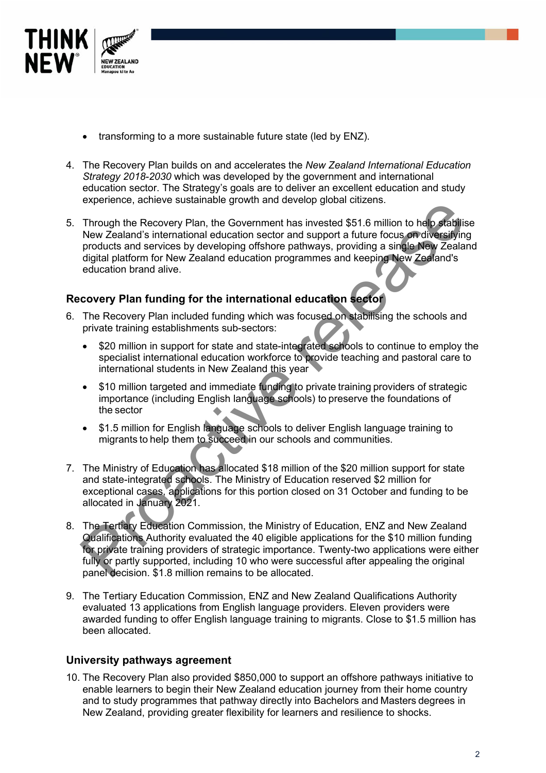

- transforming to a more sustainable future state (led by ENZ).
- 4. The Recovery Plan builds on and accelerates the *New Zealand International Education Strategy 2018-2030* which was developed by the government and international education sector. The Strategy's goals are to deliver an excellent education and study experience, achieve sustainable growth and develop global citizens.
- 5. Through the Recovery Plan, the Government has invested \$51.6 million to help stabilise New Zealand's international education sector and support a future focus on diversifying products and services by developing offshore pathways, providing a single New Zealand digital platform for New Zealand education programmes and keeping New Zealand's education brand alive. Experience the Recovery Plan in the Government has invested \$51.6 million to help statility<br>Through the Recovery Plan, the Government has invested \$51.6 million to help statility<br>INV Zealand's international education secto

## **Recovery Plan funding for the international education sector**

- 6. The Recovery Plan included funding which was focused on stabilising the schools and private training establishments sub-sectors:
	- \$20 million in support for state and state-integrated schools to continue to employ the specialist international education workforce to provide teaching and pastoral care to international students in New Zealand this year
	- \$10 million targeted and immediate funding to private training providers of strategic importance (including English language schools) to preserve the foundations of the sector
	- \$1.5 million for English language schools to deliver English language training to migrants to help them to succeed in our schools and communities.
- 7. The Ministry of Education has allocated \$18 million of the \$20 million support for state and state-integrated schools. The Ministry of Education reserved \$2 million for exceptional cases, applications for this portion closed on 31 October and funding to be allocated in January 2021.
- 8. The Tertiary Education Commission, the Ministry of Education, ENZ and New Zealand Qualifications Authority evaluated the 40 eligible applications for the \$10 million funding for private training providers of strategic importance. Twenty-two applications were either fully or partly supported, including 10 who were successful after appealing the original panel decision. \$1.8 million remains to be allocated.
- 9. The Tertiary Education Commission, ENZ and New Zealand Qualifications Authority evaluated 13 applications from English language providers. Eleven providers were awarded funding to offer English language training to migrants. Close to \$1.5 million has been allocated.

## **University pathways agreement**

10. The Recovery Plan also provided \$850,000 to support an offshore pathways initiative to enable learners to begin their New Zealand education journey from their home country and to study programmes that pathway directly into Bachelors and Masters degrees in New Zealand, providing greater flexibility for learners and resilience to shocks.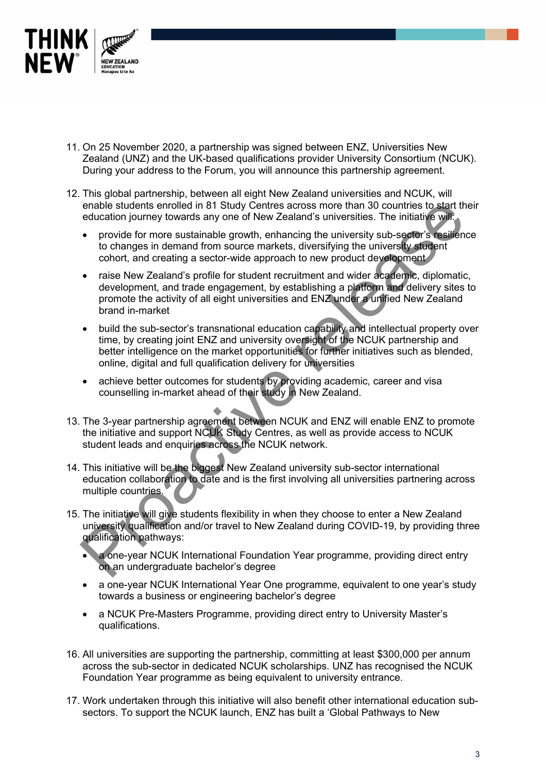

- 11. On 25 November 2020, a partnership was signed between ENZ, Universities New Zealand (UNZ) and the UK-based qualifications provider University Consortium (NCUK). During your address to the Forum, you will announce this partnership agreement.
- 12. This global partnership, between all eight New Zealand universities and NCUK, will enable students enrolled in 81 Study Centres across more than 30 countries to start their education journey towards any one of New Zealand's universities. The initiative will:
	- provide for more sustainable growth, enhancing the university sub-sector's resilience to changes in demand from source markets, diversifying the university student cohort, and creating a sector-wide approach to new product development
	- raise New Zealand's profile for student recruitment and wider academic, diplomatic, development, and trade engagement, by establishing a platform and delivery sites to promote the activity of all eight universities and ENZ under a unified New Zealand brand in-market
	- build the sub-sector's transnational education capability and intellectual property over time, by creating joint ENZ and university oversight of the NCUK partnership and better intelligence on the market opportunities for further initiatives such as blended, online, digital and full qualification delivery for universities enable students enrolled in 81 Study Centres across more than 30 countries to start the position of the method in the method of the provide for more sustainable growth, enhancing the university sub-sector's resilient to ch
	- achieve better outcomes for students by providing academic, career and visa counselling in-market ahead of their study in New Zealand.
- 13. The 3-year partnership agreement between NCUK and ENZ will enable ENZ to promote the initiative and support NCUK Study Centres, as well as provide access to NCUK student leads and enquiries across the NCUK network.
- 14. This initiative will be the biggest New Zealand university sub-sector international education collaboration to date and is the first involving all universities partnering across multiple countries.
- 15. The initiative will give students flexibility in when they choose to enter a New Zealand university qualification and/or travel to New Zealand during COVID-19, by providing three qualification pathways:
	- a one-year NCUK International Foundation Year programme, providing direct entry on an undergraduate bachelor's degree
	- a one-year NCUK International Year One programme, equivalent to one year's study towards a business or engineering bachelor's degree
	- a NCUK Pre-Masters Programme, providing direct entry to University Master's qualifications.
- 16. All universities are supporting the partnership, committing at least \$300,000 per annum across the sub-sector in dedicated NCUK scholarships. UNZ has recognised the NCUK Foundation Year programme as being equivalent to university entrance.
- 17. Work undertaken through this initiative will also benefit other international education subsectors. To support the NCUK launch, ENZ has built a 'Global Pathways to New